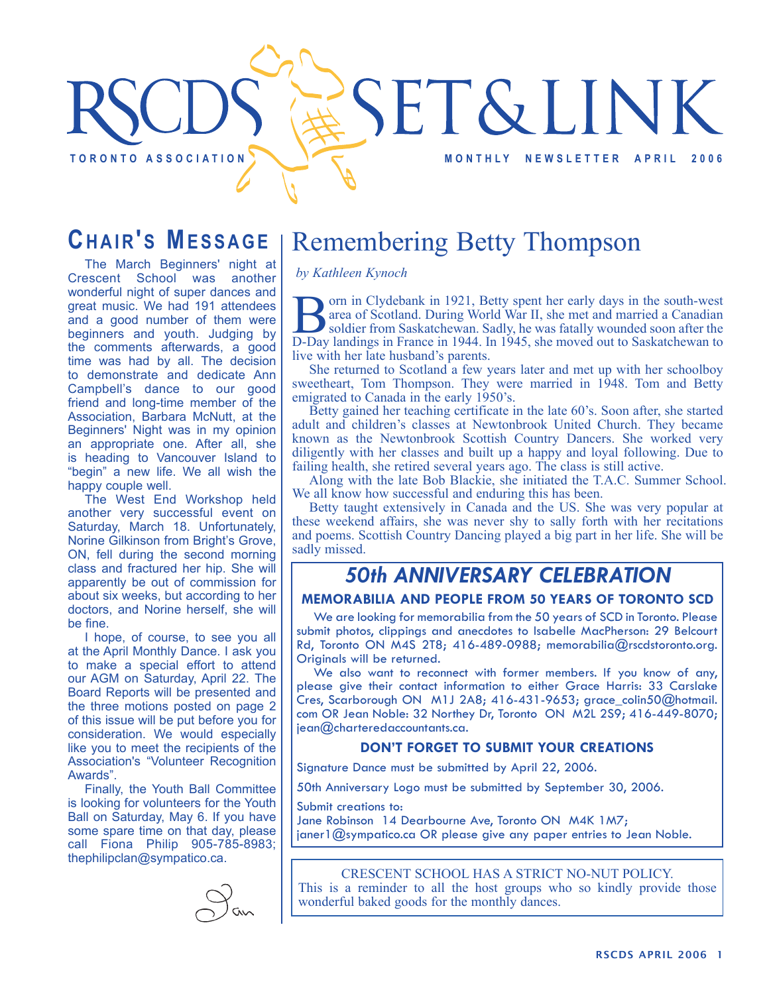# SET&LINK TORONTO ASSOCIATION **TO REALL 2006** MONTHLY NEWSLETTER APRIL 2006

## **CHAIR'S MESSAGE**

The March Beginners' night at Crescent School was another wonderful night of super dances and great music. We had 191 attendees and a good number of them were beginners and youth. Judging by the comments afterwards, a good time was had by all. The decision to demonstrate and dedicate Ann Campbell's dance to our good friend and long-time member of the Association, Barbara McNutt, at the Beginners' Night was in my opinion an appropriate one. After all, she is heading to Vancouver Island to "begin" a new life. We all wish the happy couple well.

The West End Workshop held another very successful event on Saturday, March 18. Unfortunately, Norine Gilkinson from Bright's Grove, ON, fell during the second morning class and fractured her hip. She will apparently be out of commission for about six weeks, but according to her doctors, and Norine herself, she will be fine.

I hope, of course, to see you all at the April Monthly Dance. I ask you to make a special effort to attend our AGM on Saturday, April 22. The Board Reports will be presented and the three motions posted on page 2 of this issue will be put before you for consideration. We would especially like you to meet the recipients of the Association's "Volunteer Recognition Awards".

Finally, the Youth Ball Committee is looking for volunteers for the Youth Ball on Saturday, May 6. If you have some spare time on that day, please call Fiona Philip 905-785-8983; thephilipclan@sympatico.ca.

## Remembering Betty Thompson

 *by Kathleen Kynoch*

**Boldier Schools Exercise 1921, Betty spent her early days in the south-west** area of Scotland. During World War II, she met and married a Canadian soldier from Saskatchewan. Sadly, he was fatally wounded soon after the Darea of Scotland. During World War II, she met and married a Canadian D-Day landings in France in 1944. In 1945, she moved out to Saskatchewan to live with her late husband's parents.

She returned to Scotland a few years later and met up with her schoolboy sweetheart, Tom Thompson. They were married in 1948. Tom and Betty emigrated to Canada in the early 1950's.

Betty gained her teaching certificate in the late 60's. Soon after, she started adult and children's classes at Newtonbrook United Church. They became known as the Newtonbrook Scottish Country Dancers. She worked very diligently with her classes and built up a happy and loyal following. Due to failing health, she retired several years ago. The class is still active.

Along with the late Bob Blackie, she initiated the T.A.C. Summer School. We all know how successful and enduring this has been.

Betty taught extensively in Canada and the US. She was very popular at these weekend affairs, she was never shy to sally forth with her recitations and poems. Scottish Country Dancing played a big part in her life. She will be sadly missed.

## *50th ANNIVERSARY CELEBRATION*

#### **MEMORABILIA AND PEOPLE FROM 50 YEARS OF TORONTO SCD**

We are looking for memorabilia from the 50 years of SCD in Toronto. Please submit photos, clippings and anecdotes to Isabelle MacPherson: 29 Belcourt Rd, Toronto ON M4S 2T8; 416-489-0988; memorabilia@rscdstoronto.org. Originals will be returned.

We also want to reconnect with former members. If you know of any, please give their contact information to either Grace Harris: 33 Carslake Cres, Scarborough ON M1J 2A8; 416-431-9653; grace\_colin50@hotmail. com OR Jean Noble: 32 Northey Dr, Toronto ON M2L 2S9; 416-449-8070; jean@charteredaccountants.ca.

#### **DON'T FORGET TO SUBMIT YOUR CREATIONS**

Signature Dance must be submitted by April 22, 2006.

50th Anniversary Logo must be submitted by September 30, 2006.

Submit creations to:

Jane Robinson 14 Dearbourne Ave, Toronto ON M4K 1M7;

janer1@sympatico.ca OR please give any paper entries to Jean Noble.

CRESCENT SCHOOL HAS A STRICT NO-NUT POLICY.

This is a reminder to all the host groups who so kindly provide those wonderful baked goods for the monthly dances.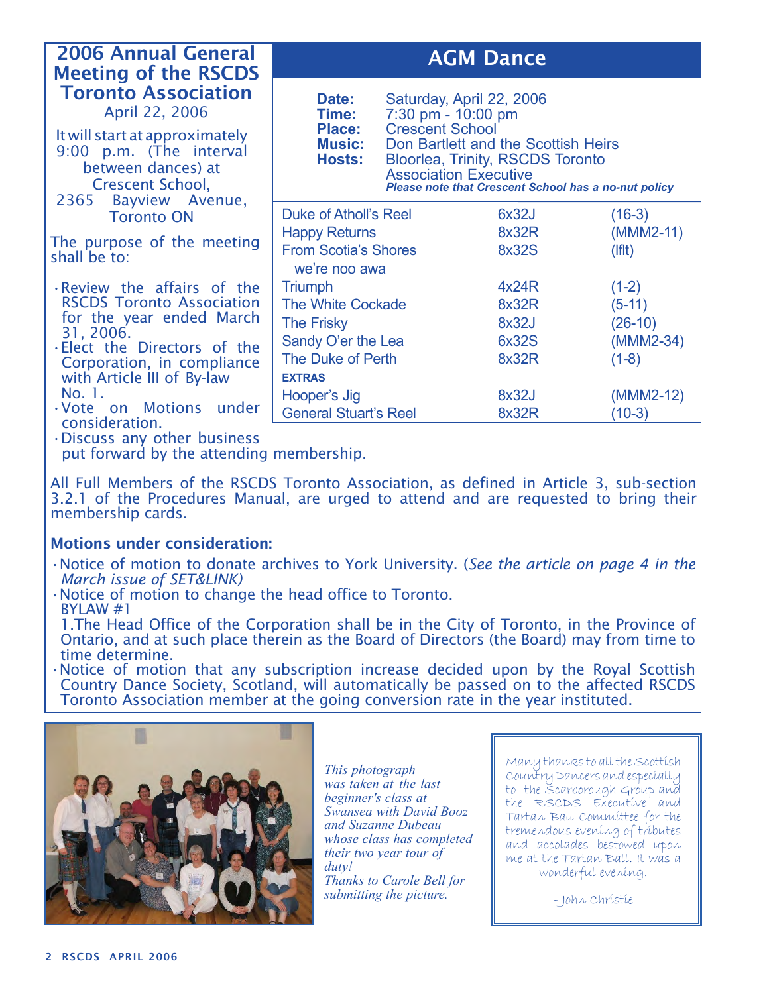| <b>2006 Annual General</b><br><b>Meeting of the RSCDS</b>                                                                                                                                                                                | <b>AGM Dance</b>                                                                                                                                                     |                                                                                                                                                                                                                                                    |                                                             |                                                                                       |
|------------------------------------------------------------------------------------------------------------------------------------------------------------------------------------------------------------------------------------------|----------------------------------------------------------------------------------------------------------------------------------------------------------------------|----------------------------------------------------------------------------------------------------------------------------------------------------------------------------------------------------------------------------------------------------|-------------------------------------------------------------|---------------------------------------------------------------------------------------|
| <b>Toronto Association</b><br>April 22, 2006<br>It will start at approximately<br>9:00 p.m. (The interval<br>between dances) at<br>Crescent School,<br>2365 Bayview Avenue,                                                              | Date:<br>Time:<br><b>Place:</b><br><b>Music:</b><br><b>Hosts:</b>                                                                                                    | Saturday, April 22, 2006<br>7:30 pm - 10:00 pm<br><b>Crescent School</b><br>Don Bartlett and the Scottish Heirs<br><b>Bloorlea, Trinity, RSCDS Toronto</b><br><b>Association Executive</b><br>Please note that Crescent School has a no-nut policy |                                                             |                                                                                       |
| <b>Toronto ON</b>                                                                                                                                                                                                                        | Duke of Atholl's Reel                                                                                                                                                |                                                                                                                                                                                                                                                    | 6x32J                                                       | $(16-3)$                                                                              |
| The purpose of the meeting<br>shall be to:                                                                                                                                                                                               | <b>Happy Returns</b><br><b>From Scotia's Shores</b><br>we're noo awa                                                                                                 |                                                                                                                                                                                                                                                    | 8x32R<br>8x32S                                              | $(MMM2-11)$<br>$($ lflt $)$                                                           |
| ·Review the affairs of the<br><b>RSCDS Toronto Association</b><br>for the year ended March<br>31, 2006.<br>. Elect the Directors of the<br>Corporation, in compliance<br>with Article III of By-law<br>No. 1.<br>· Vote on Motions under | <b>Triumph</b><br>The White Cockade<br><b>The Frisky</b><br>Sandy O'er the Lea<br>The Duke of Perth<br><b>EXTRAS</b><br>Hooper's Jig<br><b>General Stuart's Reel</b> |                                                                                                                                                                                                                                                    | 4x24R<br>8x32R<br>8x32J<br>6x32S<br>8x32R<br>8x32J<br>8x32R | $(1-2)$<br>$(5-11)$<br>$(26-10)$<br>$(MMM2-34)$<br>$(1-8)$<br>$(MMM2-12)$<br>$(10-3)$ |
| consideration.<br>. Discuss any other business<br>ومراجع والواردوا الأوروبي ويرماها المرد                                                                                                                                                | المترام المتناط والممتاح ومتاريخ مترازات متامات                                                                                                                      |                                                                                                                                                                                                                                                    |                                                             |                                                                                       |

put forward by the attending membership.

All Full Members of the RSCDS Toronto Association, as defined in Article 3, sub-section 3.2.1 of the Procedures Manual, are urged to attend and are requested to bring their membership cards.

#### Motions under consideration:

- •Notice of motion to donate archives to York University. (*See the article on page 4 in the March issue of SET&LINK)*
- •Notice of motion to change the head office to Toronto. BYLAW #1

1.The Head Office of the Corporation shall be in the City of Toronto, in the Province of Ontario, and at such place therein as the Board of Directors (the Board) may from time to time determine.

•Notice of motion that any subscription increase decided upon by the Royal Scottish Country Dance Society, Scotland, will automatically be passed on to the affected RSCDS Toronto Association member at the going conversion rate in the year instituted.



*This photograph was taken at the last beginner's class at Swansea with David Booz and Suzanne Dubeau whose class has completed their two year tour of duty! Thanks to Carole Bell for submitting the picture.*

Many thanks to all the Scottish Country Dancers and especially to the Scarborough Group and the RSCDS Executive and Tartan Ball Committee for the tremendous evening of tributes and accolades bestowed upon me at the Tartan Ball. It was a wonderful evening.

- John Christie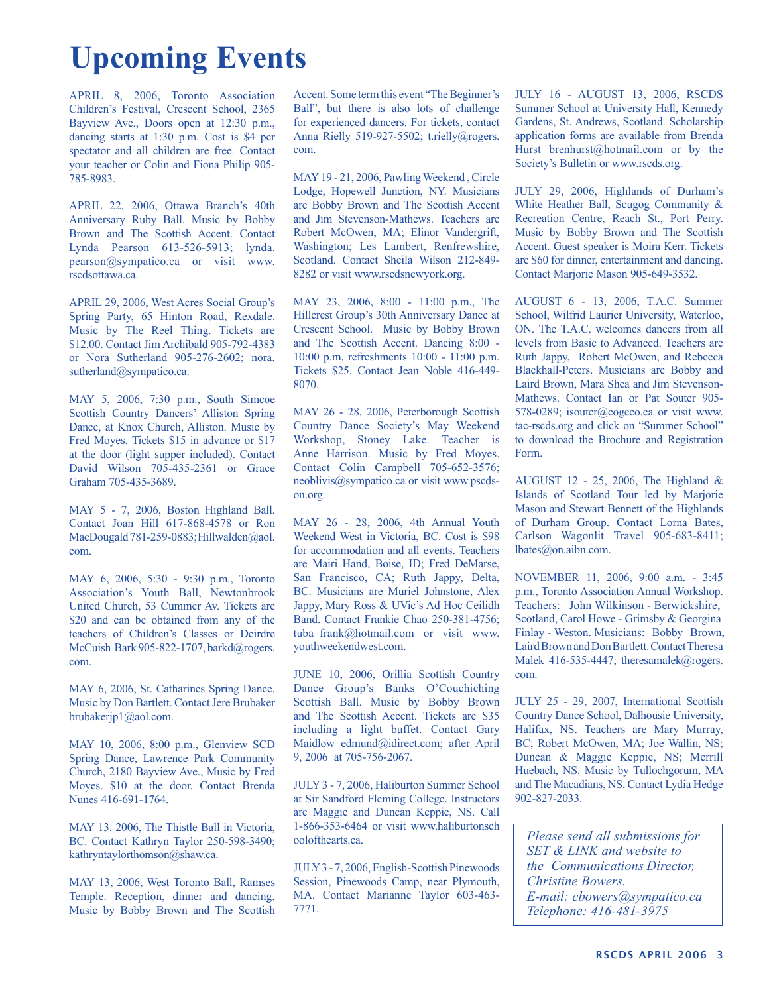# **Upcoming Events**

APRIL 8, 2006, Toronto Association Children's Festival, Crescent School, 2365 Bayview Ave., Doors open at 12:30 p.m., dancing starts at 1:30 p.m. Cost is \$4 per spectator and all children are free. Contact your teacher or Colin and Fiona Philip 905- 785-8983.

APRIL 22, 2006, Ottawa Branch's 40th Anniversary Ruby Ball. Music by Bobby Brown and The Scottish Accent. Contact Lynda Pearson 613-526-5913; lynda. pearson@sympatico.ca or visit www. rscdsottawa.ca.

APRIL 29, 2006, West Acres Social Group's Spring Party, 65 Hinton Road, Rexdale. Music by The Reel Thing. Tickets are \$12.00. Contact Jim Archibald 905-792-4383 or Nora Sutherland 905-276-2602; nora. sutherland@sympatico.ca.

MAY 5, 2006, 7:30 p.m., South Simcoe Scottish Country Dancers' Alliston Spring Dance, at Knox Church, Alliston. Music by Fred Moyes. Tickets \$15 in advance or \$17 at the door (light supper included). Contact David Wilson 705-435-2361 or Grace Graham 705-435-3689.

MAY 5 - 7, 2006, Boston Highland Ball. Contact Joan Hill 617-868-4578 or Ron MacDougald 781-259-0883; Hillwalden@aol. com.

MAY 6, 2006, 5:30 - 9:30 p.m., Toronto Association's Youth Ball, Newtonbrook United Church, 53 Cummer Av. Tickets are \$20 and can be obtained from any of the teachers of Children's Classes or Deirdre McCuish Bark 905-822-1707, barkd@rogers. com.

MAY 6, 2006, St. Catharines Spring Dance. Music by Don Bartlett. Contact Jere Brubaker brubakerjp1@aol.com.

MAY 10, 2006, 8:00 p.m., Glenview SCD Spring Dance, Lawrence Park Community Church, 2180 Bayview Ave., Music by Fred Moyes. \$10 at the door. Contact Brenda Nunes 416-691-1764.

MAY 13. 2006, The Thistle Ball in Victoria, BC. Contact Kathryn Taylor 250-598-3490; kathryntaylorthomson@shaw.ca.

MAY 13, 2006, West Toronto Ball, Ramses Temple. Reception, dinner and dancing. Music by Bobby Brown and The Scottish

Accent. Some term this event "The Beginner's Ball", but there is also lots of challenge for experienced dancers. For tickets, contact Anna Rielly 519-927-5502; t.rielly@rogers. com.

MAY 19 - 21, 2006, Pawling Weekend , Circle Lodge, Hopewell Junction, NY. Musicians are Bobby Brown and The Scottish Accent and Jim Stevenson-Mathews. Teachers are Robert McOwen, MA; Elinor Vandergrift, Washington; Les Lambert, Renfrewshire, Scotland. Contact Sheila Wilson 212-849- 8282 or visit www.rscdsnewyork.org.

MAY 23, 2006, 8:00 - 11:00 p.m., The Hillcrest Group's 30th Anniversary Dance at Crescent School. Music by Bobby Brown and The Scottish Accent. Dancing 8:00 - 10:00 p.m, refreshments 10:00 - 11:00 p.m. Tickets \$25. Contact Jean Noble 416-449- 8070.

MAY 26 - 28, 2006, Peterborough Scottish Country Dance Society's May Weekend Workshop, Stoney Lake. Teacher is Anne Harrison. Music by Fred Moyes. Contact Colin Campbell 705-652-3576; neoblivis@sympatico.ca or visit www.pscdson.org.

MAY 26 - 28, 2006, 4th Annual Youth Weekend West in Victoria, BC. Cost is \$98 for accommodation and all events. Teachers are Mairi Hand, Boise, ID; Fred DeMarse, San Francisco, CA; Ruth Jappy, Delta, BC. Musicians are Muriel Johnstone, Alex Jappy, Mary Ross & UVic's Ad Hoc Ceilidh Band. Contact Frankie Chao 250-381-4756; tuba frank@hotmail.com or visit www. youthweekendwest.com.

JUNE 10, 2006, Orillia Scottish Country Dance Group's Banks O'Couchiching Scottish Ball. Music by Bobby Brown and The Scottish Accent. Tickets are \$35 including a light buffet. Contact Gary Maidlow edmund@idirect.com; after April 9, 2006 at 705-756-2067.

JULY 3 - 7, 2006, Haliburton Summer School at Sir Sandford Fleming College. Instructors are Maggie and Duncan Keppie, NS. Call 1-866-353-6464 or visit www.haliburtonsch oolofthearts.ca.

JULY 3 - 7, 2006, English-Scottish Pinewoods Session, Pinewoods Camp, near Plymouth, MA. Contact Marianne Taylor 603-463- 7771.

JULY 16 - AUGUST 13, 2006, RSCDS Summer School at University Hall, Kennedy Gardens, St. Andrews, Scotland. Scholarship application forms are available from Brenda Hurst brenhurst@hotmail.com or by the Society's Bulletin or www.rscds.org.

JULY 29, 2006, Highlands of Durham's White Heather Ball, Scugog Community & Recreation Centre, Reach St., Port Perry. Music by Bobby Brown and The Scottish Accent. Guest speaker is Moira Kerr. Tickets are \$60 for dinner, entertainment and dancing. Contact Marjorie Mason 905-649-3532.

AUGUST 6 - 13, 2006, T.A.C. Summer School, Wilfrid Laurier University, Waterloo, ON. The T.A.C. welcomes dancers from all levels from Basic to Advanced. Teachers are Ruth Jappy, Robert McOwen, and Rebecca Blackhall-Peters. Musicians are Bobby and Laird Brown, Mara Shea and Jim Stevenson-Mathews. Contact Ian or Pat Souter 905- 578-0289; isouter@cogeco.ca or visit www. tac-rscds.org and click on "Summer School" to download the Brochure and Registration Form.

AUGUST 12 - 25, 2006, The Highland & Islands of Scotland Tour led by Marjorie Mason and Stewart Bennett of the Highlands of Durham Group. Contact Lorna Bates, Carlson Wagonlit Travel 905-683-8411; lbates@on.aibn.com.

NOVEMBER 11, 2006, 9:00 a.m. - 3:45 p.m., Toronto Association Annual Workshop. Teachers: John Wilkinson - Berwickshire, Scotland, Carol Howe - Grimsby & Georgina Finlay - Weston. Musicians: Bobby Brown, Laird Brown and Don Bartlett. Contact Theresa Malek 416-535-4447; theresamalek@rogers. com.

JULY 25 - 29, 2007, International Scottish Country Dance School, Dalhousie University, Halifax, NS. Teachers are Mary Murray, BC; Robert McOwen, MA; Joe Wallin, NS; Duncan & Maggie Keppie, NS; Merrill Huebach, NS. Music by Tullochgorum, MA and The Macadians, NS. Contact Lydia Hedge 902-827-2033.

*Please send all submissions for SET & LINK and website to the Communications Director, Christine Bowers. E-mail: cbowers@sympatico.ca Telephone: 416-481-3975*